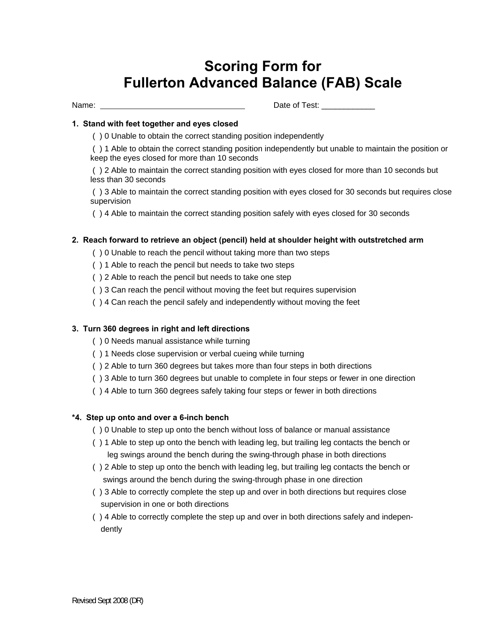# **Scoring Form for Fullerton Advanced Balance (FAB) Scale**

Name: Date of Test: \_\_\_\_\_\_\_\_\_\_\_\_

# **1. Stand with feet together and eyes closed**

( ) 0 Unable to obtain the correct standing position independently

 ( ) 1 Able to obtain the correct standing position independently but unable to maintain the position or keep the eyes closed for more than 10 seconds

 ( ) 2 Able to maintain the correct standing position with eyes closed for more than 10 seconds but less than 30 seconds

 ( ) 3 Able to maintain the correct standing position with eyes closed for 30 seconds but requires close supervision

( ) 4 Able to maintain the correct standing position safely with eyes closed for 30 seconds

# **2. Reach forward to retrieve an object (pencil) held at shoulder height with outstretched arm**

- ( ) 0 Unable to reach the pencil without taking more than two steps
- ( ) 1 Able to reach the pencil but needs to take two steps
- ( ) 2 Able to reach the pencil but needs to take one step
- ( ) 3 Can reach the pencil without moving the feet but requires supervision
- ( ) 4 Can reach the pencil safely and independently without moving the feet

# **3. Turn 360 degrees in right and left directions**

- ( ) 0 Needs manual assistance while turning
- ( ) 1 Needs close supervision or verbal cueing while turning
- ( ) 2 Able to turn 360 degrees but takes more than four steps in both directions
- ( ) 3 Able to turn 360 degrees but unable to complete in four steps or fewer in one direction
- ( ) 4 Able to turn 360 degrees safely taking four steps or fewer in both directions

#### **\*4. Step up onto and over a 6-inch bench**

- ( ) 0 Unable to step up onto the bench without loss of balance or manual assistance
- ( ) 1 Able to step up onto the bench with leading leg, but trailing leg contacts the bench or leg swings around the bench during the swing-through phase in both directions
- ( ) 2 Able to step up onto the bench with leading leg, but trailing leg contacts the bench or swings around the bench during the swing-through phase in one direction
- ( ) 3 Able to correctly complete the step up and over in both directions but requires close supervision in one or both directions
- ( ) 4 Able to correctly complete the step up and over in both directions safely and independently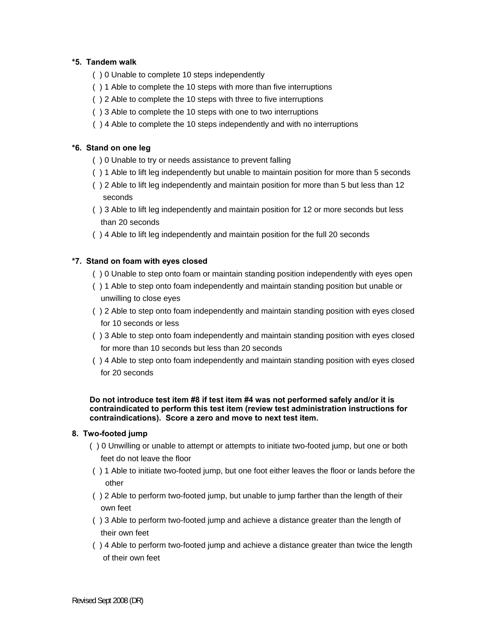# **\*5. Tandem walk**

- ( ) 0 Unable to complete 10 steps independently
- ( ) 1 Able to complete the 10 steps with more than five interruptions
- ( ) 2 Able to complete the 10 steps with three to five interruptions
- ( ) 3 Able to complete the 10 steps with one to two interruptions
- ( ) 4 Able to complete the 10 steps independently and with no interruptions

# **\*6. Stand on one leg**

- ( ) 0 Unable to try or needs assistance to prevent falling
- ( ) 1 Able to lift leg independently but unable to maintain position for more than 5 seconds
- ( ) 2 Able to lift leg independently and maintain position for more than 5 but less than 12 seconds
- ( ) 3 Able to lift leg independently and maintain position for 12 or more seconds but less than 20 seconds
- ( ) 4 Able to lift leg independently and maintain position for the full 20 seconds

# **\*7. Stand on foam with eyes closed**

- ( ) 0 Unable to step onto foam or maintain standing position independently with eyes open
- ( ) 1 Able to step onto foam independently and maintain standing position but unable or unwilling to close eyes
- ( ) 2 Able to step onto foam independently and maintain standing position with eyes closed for 10 seconds or less
- ( ) 3 Able to step onto foam independently and maintain standing position with eyes closed for more than 10 seconds but less than 20 seconds
- ( ) 4 Able to step onto foam independently and maintain standing position with eyes closed for 20 seconds

**Do not introduce test item #8 if test item #4 was not performed safely and/or it is contraindicated to perform this test item (review test administration instructions for contraindications). Score a zero and move to next test item.** 

# **8. Two-footed jump**

- ( ) 0 Unwilling or unable to attempt or attempts to initiate two-footed jump, but one or both feet do not leave the floor
- ( ) 1 Able to initiate two-footed jump, but one foot either leaves the floor or lands before the other
- ( ) 2 Able to perform two-footed jump, but unable to jump farther than the length of their own feet
- ( ) 3 Able to perform two-footed jump and achieve a distance greater than the length of their own feet
- ( ) 4 Able to perform two-footed jump and achieve a distance greater than twice the length of their own feet